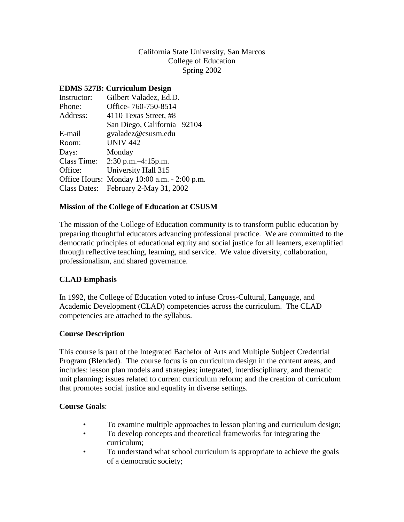## California State University, San Marcos College of Education Spring 2002

## **EDMS 527B: Curriculum Design**

| Instructor: | Gilbert Valadez, Ed.D.                      |  |
|-------------|---------------------------------------------|--|
| Phone:      | Office-760-750-8514                         |  |
| Address:    | 4110 Texas Street, #8                       |  |
|             | San Diego, California 92104                 |  |
| E-mail      | gvaladez@csusm.edu                          |  |
| Room:       | <b>UNIV 442</b>                             |  |
| Days:       | Monday                                      |  |
|             | Class Time: 2:30 p.m. -4:15 p.m.            |  |
| Office:     | University Hall 315                         |  |
|             | Office Hours: Monday 10:00 a.m. - 2:00 p.m. |  |
|             | Class Dates: February 2-May 31, 2002        |  |
|             |                                             |  |

## **Mission of the College of Education at CSUSM**

The mission of the College of Education community is to transform public education by preparing thoughtful educators advancing professional practice. We are committed to the democratic principles of educational equity and social justice for all learners, exemplified through reflective teaching, learning, and service. We value diversity, collaboration, professionalism, and shared governance.

# **CLAD Emphasis**

In 1992, the College of Education voted to infuse Cross-Cultural, Language, and Academic Development (CLAD) competencies across the curriculum. The CLAD competencies are attached to the syllabus.

## **Course Description**

This course is part of the Integrated Bachelor of Arts and Multiple Subject Credential Program (Blended). The course focus is on curriculum design in the content areas, and includes: lesson plan models and strategies; integrated, interdisciplinary, and thematic unit planning; issues related to current curriculum reform; and the creation of curriculum that promotes social justice and equality in diverse settings.

## **Course Goals**:

- To examine multiple approaches to lesson planing and curriculum design;
- To develop concepts and theoretical frameworks for integrating the curriculum;
- To understand what school curriculum is appropriate to achieve the goals of a democratic society;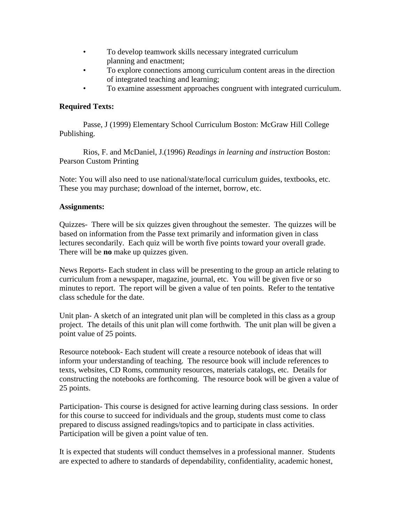- To develop teamwork skills necessary integrated curriculum planning and enactment;
- To explore connections among curriculum content areas in the direction of integrated teaching and learning;
- To examine assessment approaches congruent with integrated curriculum.

# **Required Texts:**

Passe, J (1999) Elementary School Curriculum Boston: McGraw Hill College Publishing.

Rios, F. and McDaniel, J.(1996) *Readings in learning and instruction* Boston: Pearson Custom Printing

Note: You will also need to use national/state/local curriculum guides, textbooks, etc. These you may purchase; download of the internet, borrow, etc.

# **Assignments:**

Quizzes- There will be six quizzes given throughout the semester. The quizzes will be based on information from the Passe text primarily and information given in class lectures secondarily. Each quiz will be worth five points toward your overall grade. There will be **no** make up quizzes given.

News Reports- Each student in class will be presenting to the group an article relating to curriculum from a newspaper, magazine, journal, etc. You will be given five or so minutes to report. The report will be given a value of ten points. Refer to the tentative class schedule for the date.

Unit plan- A sketch of an integrated unit plan will be completed in this class as a group project. The details of this unit plan will come forthwith. The unit plan will be given a point value of 25 points.

Resource notebook- Each student will create a resource notebook of ideas that will inform your understanding of teaching. The resource book will include references to texts, websites, CD Roms, community resources, materials catalogs, etc. Details for constructing the notebooks are forthcoming. The resource book will be given a value of 25 points.

Participation- This course is designed for active learning during class sessions. In order for this course to succeed for individuals and the group, students must come to class prepared to discuss assigned readings/topics and to participate in class activities. Participation will be given a point value of ten.

It is expected that students will conduct themselves in a professional manner. Students are expected to adhere to standards of dependability, confidentiality, academic honest,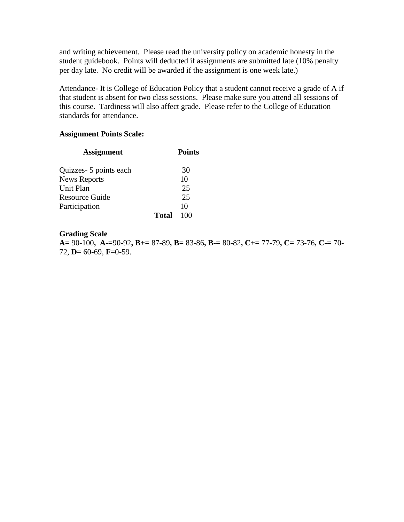and writing achievement. Please read the university policy on academic honesty in the student guidebook. Points will deducted if assignments are submitted late (10% penalty per day late. No credit will be awarded if the assignment is one week late.)

Attendance- It is College of Education Policy that a student cannot receive a grade of A if that student is absent for two class sessions. Please make sure you attend all sessions of this course. Tardiness will also affect grade. Please refer to the College of Education standards for attendance.

#### **Assignment Points Scale:**

| <b>Assignment</b>      |       | <b>Points</b> |
|------------------------|-------|---------------|
| Quizzes- 5 points each |       | 30            |
| <b>News Reports</b>    |       | 10            |
| <b>Unit Plan</b>       |       | 25            |
| <b>Resource Guide</b>  |       | 25            |
| Participation          |       | 10            |
|                        | Total | 100           |

## **Grading Scale**

**A=** 90-100**, A-=**90-92**, B+=** 87-89**, B=** 83-86**, B-=** 80-82**, C+=** 77-79**, C=** 73-76**, C-=** 70- 72, **D**= 60-69, **F**=0-59.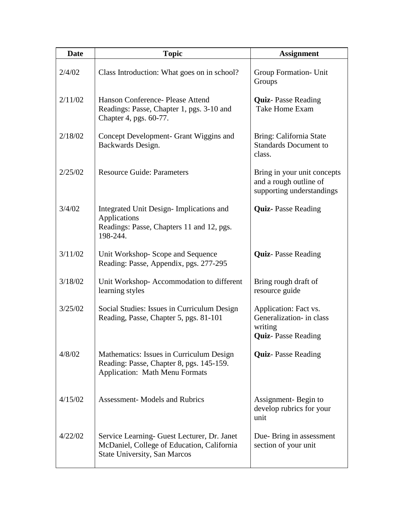| <b>Date</b> | <b>Topic</b>                                                                                                                     | <b>Assignment</b>                                                                         |
|-------------|----------------------------------------------------------------------------------------------------------------------------------|-------------------------------------------------------------------------------------------|
| 2/4/02      | Class Introduction: What goes on in school?                                                                                      | Group Formation- Unit<br>Groups                                                           |
| 2/11/02     | Hanson Conference- Please Attend<br>Readings: Passe, Chapter 1, pgs. 3-10 and<br>Chapter 4, pgs. 60-77.                          | <b>Quiz-Passe Reading</b><br>Take Home Exam                                               |
| 2/18/02     | Concept Development- Grant Wiggins and<br>Backwards Design.                                                                      | Bring: California State<br><b>Standards Document to</b><br>class.                         |
| 2/25/02     | <b>Resource Guide: Parameters</b>                                                                                                | Bring in your unit concepts<br>and a rough outline of<br>supporting understandings        |
| 3/4/02      | Integrated Unit Design-Implications and<br>Applications<br>Readings: Passe, Chapters 11 and 12, pgs.<br>198-244.                 | <b>Quiz-Passe Reading</b>                                                                 |
| 3/11/02     | Unit Workshop-Scope and Sequence<br>Reading: Passe, Appendix, pgs. 277-295                                                       | <b>Quiz-Passe Reading</b>                                                                 |
| 3/18/02     | Unit Workshop-Accommodation to different<br>learning styles                                                                      | Bring rough draft of<br>resource guide                                                    |
| 3/25/02     | Social Studies: Issues in Curriculum Design<br>Reading, Passe, Chapter 5, pgs. 81-101                                            | Application: Fact vs.<br>Generalization- in class<br>writing<br><b>Quiz-Passe Reading</b> |
| 4/8/02      | Mathematics: Issues in Curriculum Design<br>Reading: Passe, Chapter 8, pgs. 145-159.<br>Application: Math Menu Formats           | <b>Quiz-Passe Reading</b>                                                                 |
| 4/15/02     | <b>Assessment- Models and Rubrics</b>                                                                                            | Assignment-Begin to<br>develop rubrics for your<br>unit                                   |
| 4/22/02     | Service Learning- Guest Lecturer, Dr. Janet<br>McDaniel, College of Education, California<br><b>State University, San Marcos</b> | Due-Bring in assessment<br>section of your unit                                           |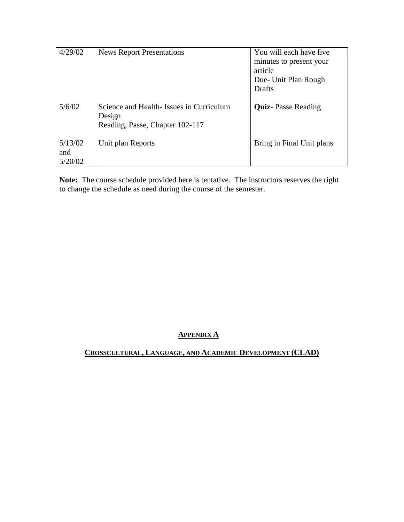| 4/29/02                   | <b>News Report Presentations</b>                                                     | You will each have five<br>minutes to present your<br>article<br>Due- Unit Plan Rough<br>Drafts |
|---------------------------|--------------------------------------------------------------------------------------|-------------------------------------------------------------------------------------------------|
| 5/6/02                    | Science and Health-Issues in Curriculum<br>Design<br>Reading, Passe, Chapter 102-117 | <b>Quiz-Passe Reading</b>                                                                       |
| 5/13/02<br>and<br>5/20/02 | Unit plan Reports                                                                    | Bring in Final Unit plans                                                                       |

**Note:** The course schedule provided here is tentative. The instructors reserves the right to change the schedule as need during the course of the semester.

# **APPENDIX A**

**CROSSCULTURAL, LANGUAGE, AND ACADEMIC DEVELOPMENT (CLAD)**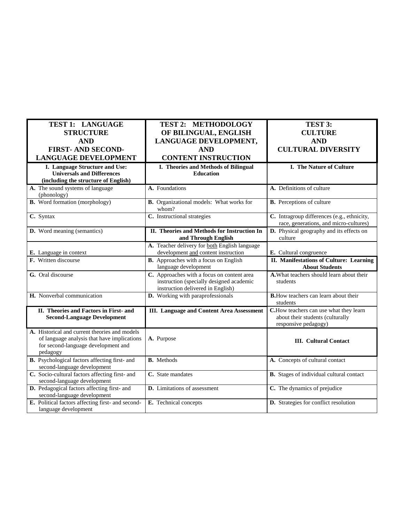| TEST 1: LANGUAGE                                                                                                                                | <b>TEST 2: METHODOLOGY</b>                                                                                                  | TEST 3:                                                                                            |
|-------------------------------------------------------------------------------------------------------------------------------------------------|-----------------------------------------------------------------------------------------------------------------------------|----------------------------------------------------------------------------------------------------|
| <b>STRUCTURE</b>                                                                                                                                | OF BILINGUAL, ENGLISH                                                                                                       | <b>CULTURE</b>                                                                                     |
| <b>AND</b>                                                                                                                                      | LANGUAGE DEVELOPMENT,                                                                                                       | <b>AND</b>                                                                                         |
| <b>FIRST-AND SECOND-</b>                                                                                                                        | <b>AND</b>                                                                                                                  | <b>CULTURAL DIVERSITY</b>                                                                          |
| <b>LANGUAGE DEVELOPMENT</b>                                                                                                                     | <b>CONTENT INSTRUCTION</b>                                                                                                  |                                                                                                    |
| I. Language Structure and Use:<br><b>Universals and Differences</b><br>(including the structure of English)                                     | I. Theories and Methods of Bilingual<br><b>Education</b>                                                                    | I. The Nature of Culture                                                                           |
| A. The sound systems of language<br>(phonology)                                                                                                 | A. Foundations                                                                                                              | A. Definitions of culture                                                                          |
| <b>B.</b> Word formation (morphology)                                                                                                           | B. Organizational models: What works for<br>whom?                                                                           | <b>B.</b> Perceptions of culture                                                                   |
| C. Syntax                                                                                                                                       | C. Instructional strategies                                                                                                 | C. Intragroup differences (e.g., ethnicity,<br>race, generations, and micro-cultures)              |
| D. Word meaning (semantics)                                                                                                                     | II. Theories and Methods for Instruction In<br>and Through English                                                          | D. Physical geography and its effects on<br>culture                                                |
| E. Language in context                                                                                                                          | A. Teacher delivery for both English language<br>development and content instruction                                        | E. Cultural congruence                                                                             |
| F. Written discourse                                                                                                                            | <b>B.</b> Approaches with a focus on English<br>language development                                                        | II. Manifestations of Culture: Learning<br><b>About Students</b>                                   |
| G. Oral discourse                                                                                                                               | C. Approaches with a focus on content area<br>instruction (specially designed academic<br>instruction delivered in English) | A. What teachers should learn about their<br>students                                              |
| H. Nonverbal communication                                                                                                                      | D. Working with paraprofessionals                                                                                           | <b>B.</b> How teachers can learn about their<br>students                                           |
| II. Theories and Factors in First- and<br><b>Second-Language Development</b>                                                                    | <b>III.</b> Language and Content Area Assessment                                                                            | C.How teachers can use what they learn<br>about their students (culturally<br>responsive pedagogy) |
| A. Historical and current theories and models<br>of language analysis that have implications<br>for second-language development and<br>pedagogy | A. Purpose                                                                                                                  | <b>III.</b> Cultural Contact                                                                       |
| B. Psychological factors affecting first- and<br>second-language development                                                                    | <b>B.</b> Methods                                                                                                           | A. Concepts of cultural contact                                                                    |
| C. Socio-cultural factors affecting first- and<br>second-language development                                                                   | C. State mandates                                                                                                           | <b>B.</b> Stages of individual cultural contact                                                    |
| D. Pedagogical factors affecting first- and<br>second-language development                                                                      | D. Limitations of assessment                                                                                                | C. The dynamics of prejudice                                                                       |
| E. Political factors affecting first- and second-<br>language development                                                                       | E. Technical concepts                                                                                                       | D. Strategies for conflict resolution                                                              |